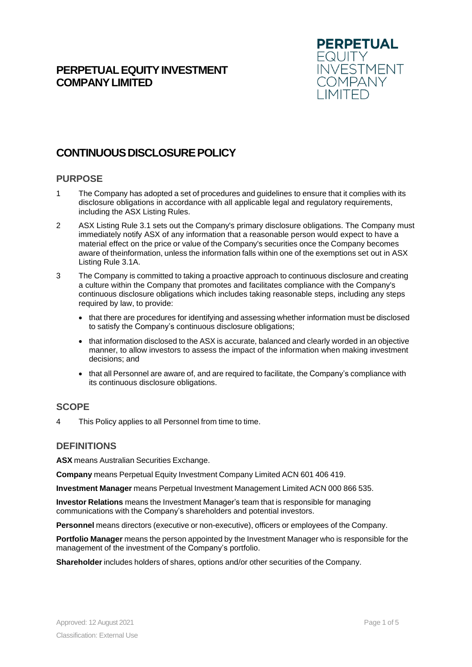# **PERPETUAL EQUITY INVESTMENT COMPANYLIMITED**



# **CONTINUOUS DISCLOSURE POLICY**

## **PURPOSE**

- 1 The Company has adopted a set of procedures and guidelines to ensure that it complies with its disclosure obligations in accordance with all applicable legal and regulatory requirements, including the ASX Listing Rules.
- 2 ASX Listing Rule 3.1 sets out the Company's primary disclosure obligations. The Company must immediately notify ASX of any information that a reasonable person would expect to have a material effect on the price or value of the Company's securities once the Company becomes aware of theinformation, unless the information falls within one of the exemptions set out in ASX Listing Rule 3.1A.
- 3 The Company is committed to taking a proactive approach to continuous disclosure and creating a culture within the Company that promotes and facilitates compliance with the Company's continuous disclosure obligations which includes taking reasonable steps, including any steps required by law, to provide:
	- that there are procedures for identifying and assessing whether information must be disclosed to satisfy the Company's continuous disclosure obligations;
	- that information disclosed to the ASX is accurate, balanced and clearly worded in an objective manner, to allow investors to assess the impact of the information when making investment decisions; and
	- that all Personnel are aware of, and are required to facilitate, the Company's compliance with its continuous disclosure obligations.

### **SCOPE**

4 This Policy applies to all Personnel from time to time.

# **DEFINITIONS**

**ASX** means Australian Securities Exchange.

**Company** means Perpetual Equity Investment Company Limited ACN 601 406 419.

**Investment Manager** means Perpetual Investment Management Limited ACN 000 866 535.

**Investor Relations** means the Investment Manager's team that is responsible for managing communications with the Company's shareholders and potential investors.

**Personnel** means directors (executive or non-executive), officers or employees of the Company.

**Portfolio Manager** means the person appointed by the Investment Manager who is responsible for the management of the investment of the Company's portfolio.

**Shareholder** includes holders of shares, options and/or other securities of the Company.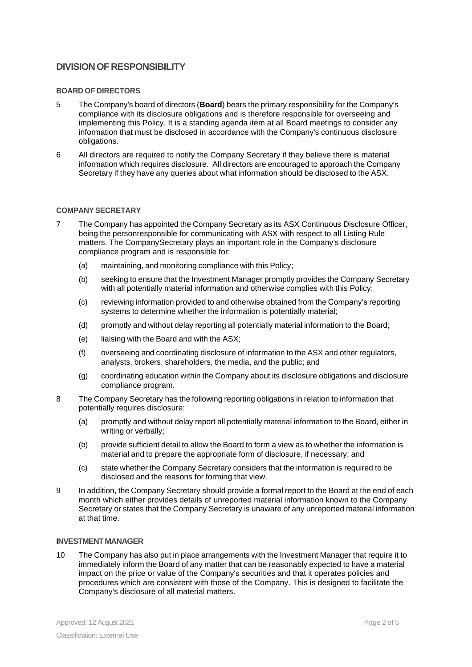# **DIVISIONOF RESPONSIBILITY**

### **BOARD OF DIRECTORS**

- 5 The Company's board of directors (**Board**) bears the primary responsibility for the Company's compliance with its disclosure obligations and is therefore responsible for overseeing and implementing this Policy. It is a standing agenda item at all Board meetings to consider any information that must be disclosed in accordance with the Company's continuous disclosure obligations.
- 6 All directors are required to notify the Company Secretary if they believe there is material information which requires disclosure. All directors are encouraged to approach the Company Secretary if they have any queries about what information should be disclosed to the ASX.

#### **COMPANYSECRETARY**

- 7 The Company has appointed the Company Secretary as its ASX Continuous Disclosure Officer, being the personresponsible for communicating with ASX with respect to all Listing Rule matters. The CompanySecretary plays an important role in the Company's disclosure compliance program and is responsible for:
	- (a) maintaining, and monitoring compliance with this Policy;
	- (b) seeking to ensure that the Investment Manager promptly provides the Company Secretary with all potentially material information and otherwise complies with this Policy;
	- (c) reviewing information provided to and otherwise obtained from the Company's reporting systems to determine whether the information is potentially material;
	- (d) promptly and without delay reporting all potentially material information to the Board;
	- (e) liaising with the Board and with the ASX;
	- (f) overseeing and coordinating disclosure of information to the ASX and other regulators, analysts, brokers, shareholders, the media, and the public; and
	- (g) coordinating education within the Company about its disclosure obligations and disclosure compliance program.
- 8 The Company Secretary has the following reporting obligations in relation to information that potentially requires disclosure:
	- (a) promptly and without delay report all potentially material information to the Board, either in writing or verbally;
	- (b) provide sufficient detail to allow the Board to form a view as to whether the information is material and to prepare the appropriate form of disclosure, if necessary; and
	- (c) state whether the Company Secretary considers that the information is required to be disclosed and the reasons for forming that view.
- 9 In addition, the Company Secretary should provide a formal report to the Board at the end of each month which either provides details of unreported material information known to the Company Secretary or states that the Company Secretary is unaware of any unreported material information at that time.

### **INVESTMENT MANAGER**

10 The Company has also put in place arrangements with the Investment Manager that require it to immediately inform the Board of any matter that can be reasonably expected to have a material impact on the price or value of the Company's securities and that it operates policies and procedures which are consistent with those of the Company. This is designed to facilitate the Company's disclosure of all material matters.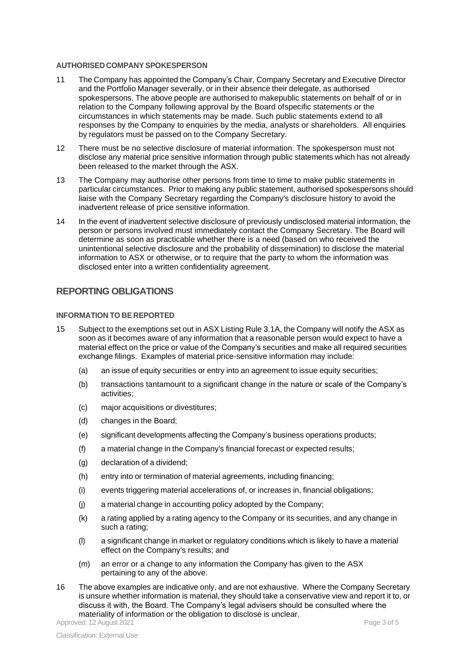#### **AUTHORISED COMPANY SPOKESPERSON**

- 11 The Company has appointed the Company's Chair, Company Secretary and Executive Director and the Portfolio Manager severally, or in their absence their delegate, as authorised spokespersons. The above people are authorised to makepublic statements on behalf of or in relation to the Company following approval by the Board ofspecific statements or the circumstances in which statements may be made. Such public statements extend to all responses by the Company to enquiries by the media, analysts or shareholders. All enquiries by regulators must be passed on to the Company Secretary.
- 12 There must be no selective disclosure of material information. The spokesperson must not disclose any material price sensitive information through public statements which has not already been released to the market through the ASX.
- 13 The Company may authorise other persons from time to time to make public statements in particular circumstances. Prior to making any public statement, authorised spokespersons should liaise with the Company Secretary regarding the Company's disclosure history to avoid the inadvertent release of price sensitive information.
- 14 In the event of inadvertent selective disclosure of previously undisclosed material information, the person or persons involved must immediately contact the Company Secretary. The Board will determine as soon as practicable whether there is a need (based on who received the unintentional selective disclosure and the probability of dissemination) to disclose the material information to ASX or otherwise, or to require that the party to whom the information was disclosed enter into a written confidentiality agreement.

## **REPORTING OBLIGATIONS**

### **INFORMATION TO BE REPORTED**

- 15 Subject to the exemptions set out in ASX Listing Rule 3.1A, the Company will notify the ASX as soon as it becomes aware of any information that a reasonable person would expect to have a material effect on the price or value of the Company's securities and make all required securities exchange filings. Examples of material price-sensitive information may include:
	- (a) an issue of equity securities or entry into an agreement to issue equity securities;
	- (b) transactions tantamount to a significant change in the nature or scale of the Company's activities;
	- (c) major acquisitions or divestitures;
	- (d) changes in the Board;
	- (e) significant developments affecting the Company's business operations products;
	- (f) a material change in the Company's financial forecast or expected results;
	- (g) declaration of a dividend;
	- (h) entry into or termination of material agreements, including financing;
	- (i) events triggering material accelerations of, or increases in, financial obligations;
	- (j) a material change in accounting policy adopted by the Company;
	- (k) a rating applied by a rating agency to the Company or its securities, and any change in such a rating;
	- (l) a significant change in market or regulatory conditions which is likely to have a material effect on the Company's results; and
	- (m) an error or a change to any information the Company has given to the ASX pertaining to any of the above.
- 16 The above examples are indicative only, and are not exhaustive. Where the Company Secretary is unsure whether information is material, they should take a conservative view and report it to, or discuss it with, the Board. The Company's legal advisers should be consulted where the materiality of information or the obligation to disclose is unclear.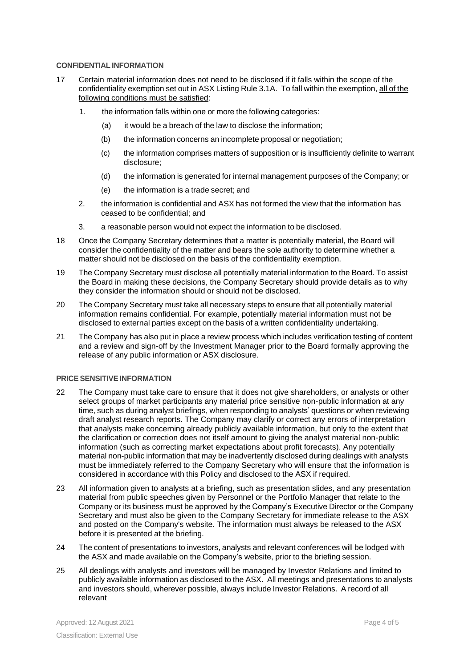### **CONFIDENTIAL INFORMATION**

- 17 Certain material information does not need to be disclosed if it falls within the scope of the confidentiality exemption set out in ASX Listing Rule 3.1A. To fall within the exemption, all of the following conditions must be satisfied:
	- 1. the information falls within one or more the following categories:
		- (a) it would be a breach of the law to disclose the information;
		- (b) the information concerns an incomplete proposal or negotiation;
		- (c) the information comprises matters of supposition or is insufficiently definite to warrant disclosure;
		- (d) the information is generated for internal management purposes of the Company; or
		- (e) the information is a trade secret; and
	- 2. the information is confidential and ASX has not formed the view that the information has ceased to be confidential; and
	- 3. a reasonable person would not expect the information to be disclosed.
- 18 Once the Company Secretary determines that a matter is potentially material, the Board will consider the confidentiality of the matter and bears the sole authority to determine whether a matter should not be disclosed on the basis of the confidentiality exemption.
- 19 The Company Secretary must disclose all potentially material information to the Board. To assist the Board in making these decisions, the Company Secretary should provide details as to why they consider the information should or should not be disclosed.
- 20 The Company Secretary must take all necessary steps to ensure that all potentially material information remains confidential. For example, potentially material information must not be disclosed to external parties except on the basis of a written confidentiality undertaking.
- 21 The Company has also put in place a review process which includes verification testing of content and a review and sign-off by the Investment Manager prior to the Board formally approving the release of any public information or ASX disclosure.

#### **PRICE SENSITIVEINFORMATION**

- 22 The Company must take care to ensure that it does not give shareholders, or analysts or other select groups of market participants any material price sensitive non-public information at any time, such as during analyst briefings, when responding to analysts' questions or when reviewing draft analyst research reports. The Company may clarify or correct any errors of interpretation that analysts make concerning already publicly available information, but only to the extent that the clarification or correction does not itself amount to giving the analyst material non-public information (such as correcting market expectations about profit forecasts). Any potentially material non-public information that may be inadvertently disclosed during dealings with analysts must be immediately referred to the Company Secretary who will ensure that the information is considered in accordance with this Policy and disclosed to the ASX if required.
- 23 All information given to analysts at a briefing, such as presentation slides, and any presentation material from public speeches given by Personnel or the Portfolio Manager that relate to the Company or its business must be approved by the Company's Executive Director or the Company Secretary and must also be given to the Company Secretary for immediate release to the ASX and posted on the Company's website. The information must always be released to the ASX before it is presented at the briefing.
- 24 The content of presentations to investors, analysts and relevant conferences will be lodged with the ASX and made available on the Company's website, prior to the briefing session.
- 25 All dealings with analysts and investors will be managed by Investor Relations and limited to publicly available information as disclosed to the ASX. All meetings and presentations to analysts and investors should, wherever possible, always include Investor Relations. A record of all relevant